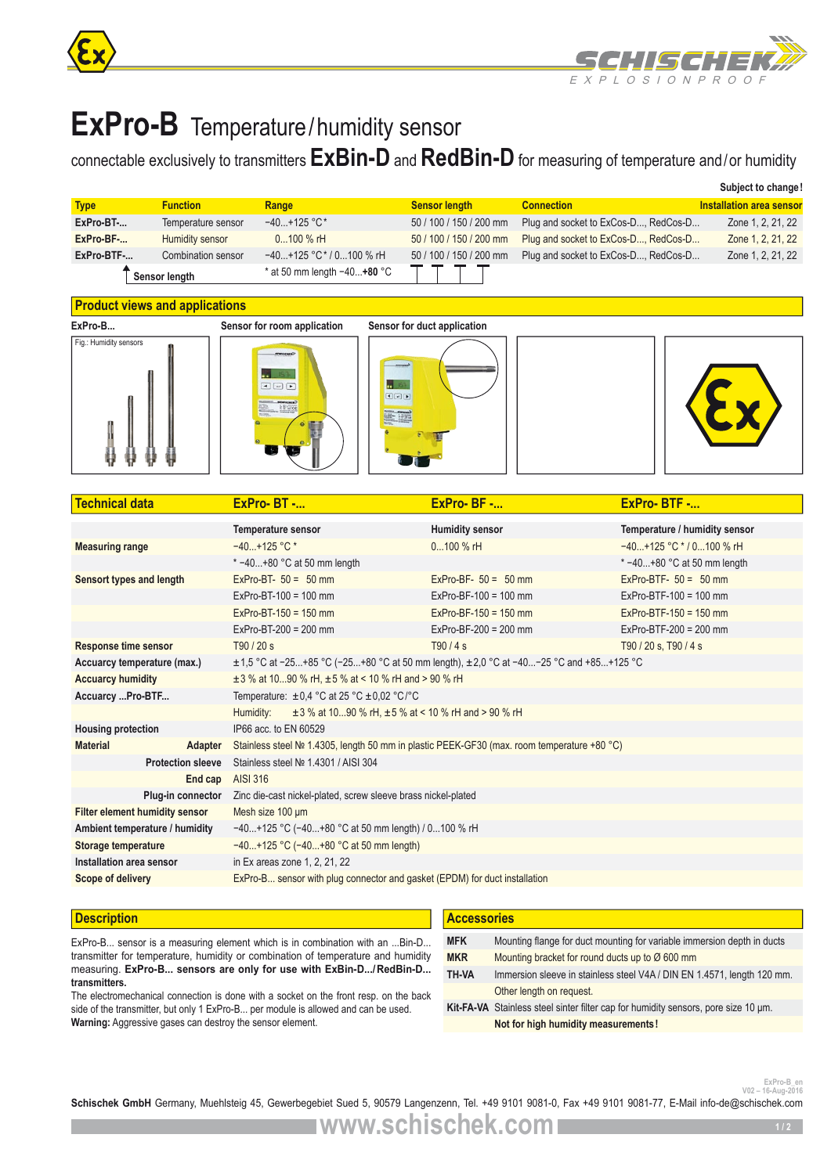



# **ExPro-B** Temperature/humidity sensor

## connectable exclusively to transmitters **ExBin-D** and **RedBin-D** for measuring of temperature and/or humidity

|             |                    |                               |                         |                                      | Subject to change!       |
|-------------|--------------------|-------------------------------|-------------------------|--------------------------------------|--------------------------|
| <b>Type</b> | <b>Function</b>    | Range                         | <b>Sensor length</b>    | <b>Connection</b>                    | Installation area sensor |
| ExPro-BT-   | Temperature sensor | $-40+125$ °C*                 | 50 / 100 / 150 / 200 mm | Plug and socket to ExCos-D, RedCos-D | Zone 1, 2, 21, 22        |
| ExPro-BF-   | Humidity sensor    | $0100\%$ rH                   | 50 / 100 / 150 / 200 mm | Plug and socket to ExCos-D, RedCos-D | Zone 1, 2, 21, 22        |
| ExPro-BTF-  | Combination sensor | $-40+125$ °C* / 0100 % rH     | 50 / 100 / 150 / 200 mm | Plug and socket to ExCos-D, RedCos-D | Zone 1, 2, 21, 22        |
|             | Sensor length      | * at 50 mm length $-40+80$ °C |                         |                                      |                          |

#### **Product views and applications**









| <b>Technical data</b>                 | $ExPro-BT$ -                                                                                    | ExPro-BF -              | ExPro-BTF -                   |  |  |  |
|---------------------------------------|-------------------------------------------------------------------------------------------------|-------------------------|-------------------------------|--|--|--|
|                                       | <b>Temperature sensor</b>                                                                       | <b>Humidity sensor</b>  | Temperature / humidity sensor |  |  |  |
| <b>Measuring range</b>                | $-40+125$ °C *                                                                                  | $0100\%$ rH             | $-40+125$ °C $*$ / 0100 % rH  |  |  |  |
|                                       | $* -40+80$ °C at 50 mm length                                                                   |                         | $* -40+80$ °C at 50 mm length |  |  |  |
| Sensort types and length              | ExPro-BT- $50 = 50$ mm                                                                          | ExPro-BF- $50 = 50$ mm  | ExPro-BTF- $50 = 50$ mm       |  |  |  |
|                                       | $ExPro-BT-100 = 100$ mm                                                                         | $ExPro-BF-100 = 100$ mm | $ExPro-BTF-100 = 100$ mm      |  |  |  |
|                                       | $ExPro-BT-150 = 150$ mm                                                                         | $ExPro-BF-150 = 150$ mm | $ExPro-BTF-150 = 150$ mm      |  |  |  |
|                                       | $ExPro-BT-200 = 200$ mm                                                                         | $ExPro-BF-200 = 200$ mm | $ExPro-BTF-200 = 200$ mm      |  |  |  |
| <b>Response time sensor</b>           | T90/20 s                                                                                        | T90/4s                  | T90 / 20 s, T90 / 4 s         |  |  |  |
| Accuarcy temperature (max.)           | $\pm$ 1,5 °C at -25+85 °C (-25+80 °C at 50 mm length), $\pm$ 2,0 °C at -40-25 °C and +85+125 °C |                         |                               |  |  |  |
| <b>Accuarcy humidity</b>              | $\pm$ 3 % at 1090 % rH, $\pm$ 5 % at < 10 % rH and > 90 % rH                                    |                         |                               |  |  |  |
| Accuarcy Pro-BTF                      | Temperature: $\pm 0.4$ °C at 25 °C $\pm 0.02$ °C/°C                                             |                         |                               |  |  |  |
|                                       | Humidity:<br>$\pm$ 3 % at 1090 % rH, $\pm$ 5 % at < 10 % rH and > 90 % rH                       |                         |                               |  |  |  |
| <b>Housing protection</b>             | IP66 acc. to EN 60529                                                                           |                         |                               |  |  |  |
| <b>Material</b><br><b>Adapter</b>     | Stainless steel № 1.4305, length 50 mm in plastic PEEK-GF30 (max. room temperature +80 °C)      |                         |                               |  |  |  |
| <b>Protection sleeve</b>              | Stainless steel Nº 1.4301 / AISI 304                                                            |                         |                               |  |  |  |
| End cap                               | AISI 316                                                                                        |                         |                               |  |  |  |
| Plug-in connector                     | Zinc die-cast nickel-plated, screw sleeve brass nickel-plated                                   |                         |                               |  |  |  |
| <b>Filter element humidity sensor</b> | Mesh size 100 um                                                                                |                         |                               |  |  |  |
| Ambient temperature / humidity        | $-40+125$ °C (-40+80 °C at 50 mm length) / 0100 % rH                                            |                         |                               |  |  |  |
| Storage temperature                   | -40+125 °C (-40+80 °C at 50 mm length)                                                          |                         |                               |  |  |  |
| Installation area sensor              | in Ex areas zone 1, 2, 21, 22                                                                   |                         |                               |  |  |  |
| Scope of delivery                     | ExPro-B sensor with plug connector and gasket (EPDM) for duct installation                      |                         |                               |  |  |  |
|                                       |                                                                                                 |                         |                               |  |  |  |

#### **Description**

ExPro-B... sensor is a measuring element which is in combination with an ...Bin-D... transmitter for temperature, humidity or combination of temperature and humidity measuring. **ExPro-B... sensors are only for use with ExBin-D.../RedBin-D... transmitters.**

The electromechanical connection is done with a socket on the front resp. on the back side of the transmitter, but only 1 ExPro-B... per module is allowed and can be used. **Warning:** Aggressive gases can destroy the sensor element.

#### **Accessories**

| <b>MFK</b> | Mounting flange for duct mounting for variable immersion depth in ducts            |  |  |
|------------|------------------------------------------------------------------------------------|--|--|
| <b>MKR</b> | Mounting bracket for round ducts up to Ø 600 mm                                    |  |  |
| TH-VA      | Immersion sleeve in stainless steel V4A / DIN EN 1.4571, length 120 mm.            |  |  |
|            | Other length on request.                                                           |  |  |
|            | Kit-FA-VA Stainless steel sinter filter cap for humidity sensors, pore size 10 um. |  |  |
|            | Not for high humidity measurements!                                                |  |  |

**V02 – 16-Aug-2016**

Schischek GmbH Germany, Muehlsteig 45, Gewerbegebiet Sued 5, 90579 Langenzenn, Tel. +49 9101 9081-0, Fax +49 9101 9081-77, E-Mail info-de@schischek.com